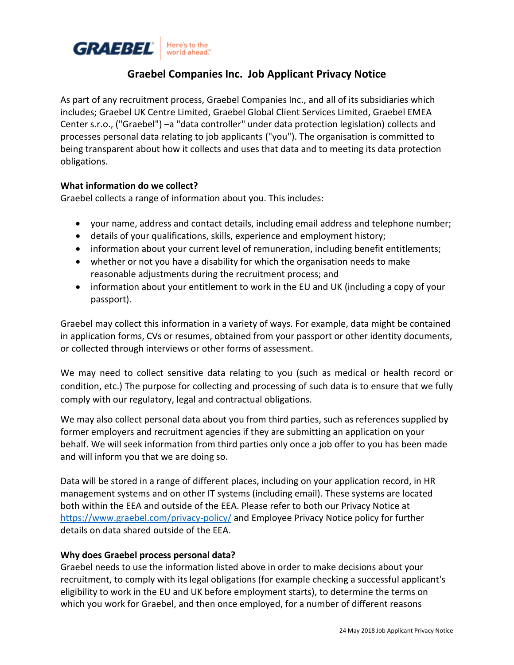

# **Graebel Companies Inc. Job Applicant Privacy Notice**

As part of any recruitment process, Graebel Companies Inc., and all of its subsidiaries which includes; Graebel UK Centre Limited, Graebel Global Client Services Limited, Graebel EMEA Center s.r.o., ("Graebel") –a "data controller" under data protection legislation) collects and processes personal data relating to job applicants ("you"). The organisation is committed to being transparent about how it collects and uses that data and to meeting its data protection obligations.

### **What information do we collect?**

Graebel collects a range of information about you. This includes:

- your name, address and contact details, including email address and telephone number;
- details of your qualifications, skills, experience and employment history;
- information about your current level of remuneration, including benefit entitlements;
- whether or not you have a disability for which the organisation needs to make reasonable adjustments during the recruitment process; and
- information about your entitlement to work in the EU and UK (including a copy of your passport).

Graebel may collect this information in a variety of ways. For example, data might be contained in application forms, CVs or resumes, obtained from your passport or other identity documents, or collected through interviews or other forms of assessment.

We may need to collect sensitive data relating to you (such as medical or health record or condition, etc.) The purpose for collecting and processing of such data is to ensure that we fully comply with our regulatory, legal and contractual obligations.

We may also collect personal data about you from third parties, such as references supplied by former employers and recruitment agencies if they are submitting an application on your behalf. We will seek information from third parties only once a job offer to you has been made and will inform you that we are doing so.

Data will be stored in a range of different places, including on your application record, in HR management systems and on other IT systems (including email). These systems are located both within the EEA and outside of the EEA. Please refer to both our Privacy Notice at <https://www.graebel.com/privacy-policy/>and Employee Privacy Notice policy for further details on data shared outside of the EEA.

### **Why does Graebel process personal data?**

Graebel needs to use the information listed above in order to make decisions about your recruitment, to comply with its legal obligations (for example checking a successful applicant's eligibility to work in the EU and UK before employment starts), to determine the terms on which you work for Graebel, and then once employed, for a number of different reasons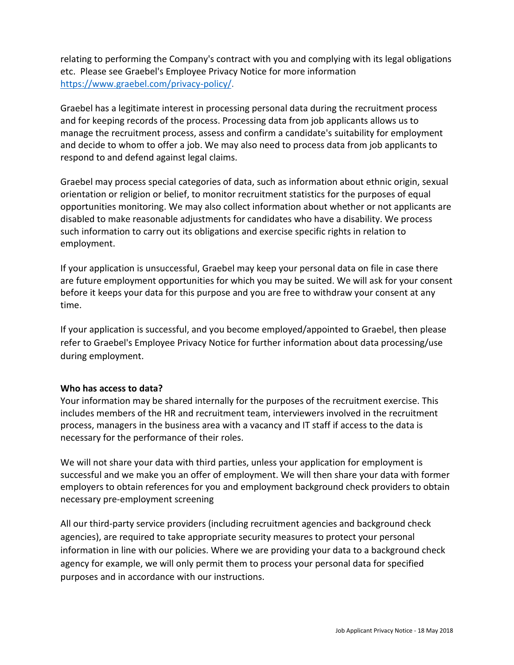relating to performing the Company's contract with you and complying with its legal obligations etc. Please see Graebel's Employee Privacy Notice for more information [https://www.graebel.com/privacy-policy/.](https://www.graebel.com/privacy-policy/)

Graebel has a legitimate interest in processing personal data during the recruitment process and for keeping records of the process. Processing data from job applicants allows us to manage the recruitment process, assess and confirm a candidate's suitability for employment and decide to whom to offer a job. We may also need to process data from job applicants to respond to and defend against legal claims.

Graebel may process special categories of data, such as information about ethnic origin, sexual orientation or religion or belief, to monitor recruitment statistics for the purposes of equal opportunities monitoring. We may also collect information about whether or not applicants are disabled to make reasonable adjustments for candidates who have a disability. We process such information to carry out its obligations and exercise specific rights in relation to employment.

If your application is unsuccessful, Graebel may keep your personal data on file in case there are future employment opportunities for which you may be suited. We will ask for your consent before it keeps your data for this purpose and you are free to withdraw your consent at any time.

If your application is successful, and you become employed/appointed to Graebel, then please refer to Graebel's Employee Privacy Notice for further information about data processing/use during employment.

## **Who has access to data?**

Your information may be shared internally for the purposes of the recruitment exercise. This includes members of the HR and recruitment team, interviewers involved in the recruitment process, managers in the business area with a vacancy and IT staff if access to the data is necessary for the performance of their roles.

We will not share your data with third parties, unless your application for employment is successful and we make you an offer of employment. We will then share your data with former employers to obtain references for you and employment background check providers to obtain necessary pre-employment screening

All our third-party service providers (including recruitment agencies and background check agencies), are required to take appropriate security measures to protect your personal information in line with our policies. Where we are providing your data to a background check agency for example, we will only permit them to process your personal data for specified purposes and in accordance with our instructions.